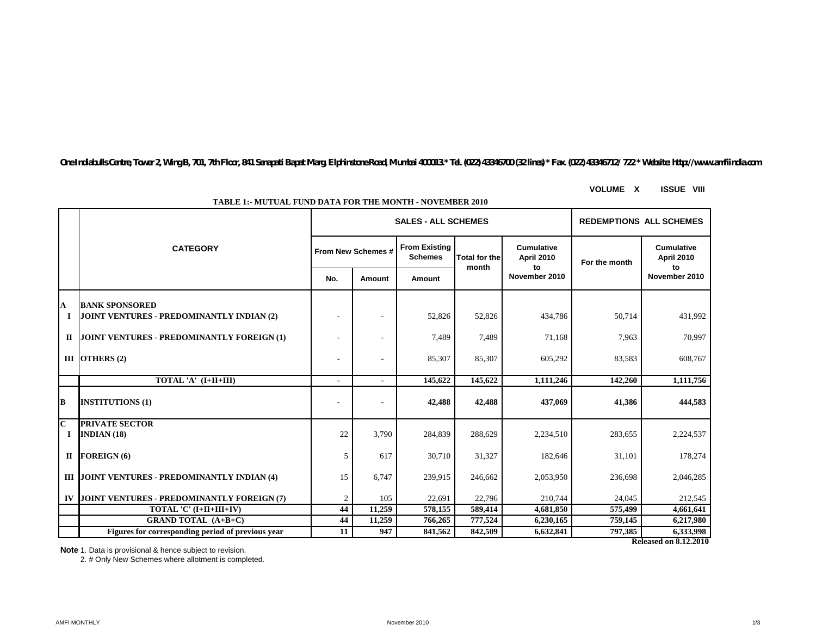*One Indiabulls Centre, Tower 2, Wing B, 701, 7th Floor, 841 Senapati Bapat Marg, Elphinstone Road, Mumbai 400013.\* Tel. (022) 43346700 (32 lines) \* Fax. (022) 43346712/ 722 \* Website: http://www.amfiindia.com*

**From Existing Schemes No. Amount Amount BANK SPONSORED I** | **JOINT VENTURES - PREDOMINANTLY INDIAN (2)**  $\qquad$  $\qquad$  $\qquad$  $\qquad$  $\qquad$  $\qquad$  $\qquad$  $\qquad$  $\qquad$  $\qquad$  $\qquad$  $\qquad$  $\qquad$  $\qquad$  $\qquad$  $\qquad$  $\qquad$  $\qquad$  $\qquad$  $\qquad$  $\qquad$  $\qquad$  $\qquad$  $\qquad$  $\qquad$  $\qquad$  $\qquad$  $\qquad$  $\qquad$ **II** |JOINT VENTURES - PREDOMINANTLY FOREIGN (1)  $\qquad \qquad$  | - | - | 7,489 | 7,489 71,168 | 7,963 | 70,997 **OTHERS (2)** - - 85,307 85,307 605,292 83,583 608,767 **TOTAL 'A' (I+II+III)**  $\qquad \qquad \qquad$  | - | 145,622 | 145,622 | 1,111,246 | 142,260 | 1,111,756 **INSTITUTIONS (1) - - 42,488 42,488 437,069 41,386 444,583 PRIVATE SECTOR INDIAN (18)** 22 3,790 284,839 288,629 2,234,510 283,655 2,224,537 **FOREIGN (6)** 5 617 30,710 31,327 182,646 31,101 178,274 **III |JOINT VENTURES - PREDOMINANTLY INDIAN (4)**  $15$   $6,747$   $239,915$   $246,662$   $2,053,950$   $236,698$   $2,046,285$ **IV |JOINT VENTURES - PREDOMINANTLY FOREIGN (7)**  $\begin{vmatrix} 2 & 105 & 22,691 & 22,796 & 210,744 & 24,045 & 212,545 \end{vmatrix}$ **CATEGORY From New Schemes # Total for the month Cumulative April 2010 to November 2010 SALES - ALL SCHEMES REDEMPTIONS ALL SCHEMES B C III** OTHERS (2) **I A II** FOREIGN (6) **Cumulative April 2010 to November 2010 For the month**

**TABLE 1:- MUTUAL FUND DATA FOR THE MONTH - NOVEMBER 2010**

**Note:** 1. Data is provisional & hence subject to revision.

2. # Only New Schemes where allotment is completed.

**Figures for corresponding period of previous year 11 947 841,562 842,509 6,632,841 797,385 6,333,998** 

**TOTAL 'C' (I+II+III+IV)** 44 11,259 578,155 589,414 4,681,850 575,499 4,661,641 **GRAND TOTAL (A+B+C)** 44 11,259 766,265 777,524 6,230,165 759,145 6,217,980

**Released on 8.12.2010**

**VOLUME X ISSUE VIII**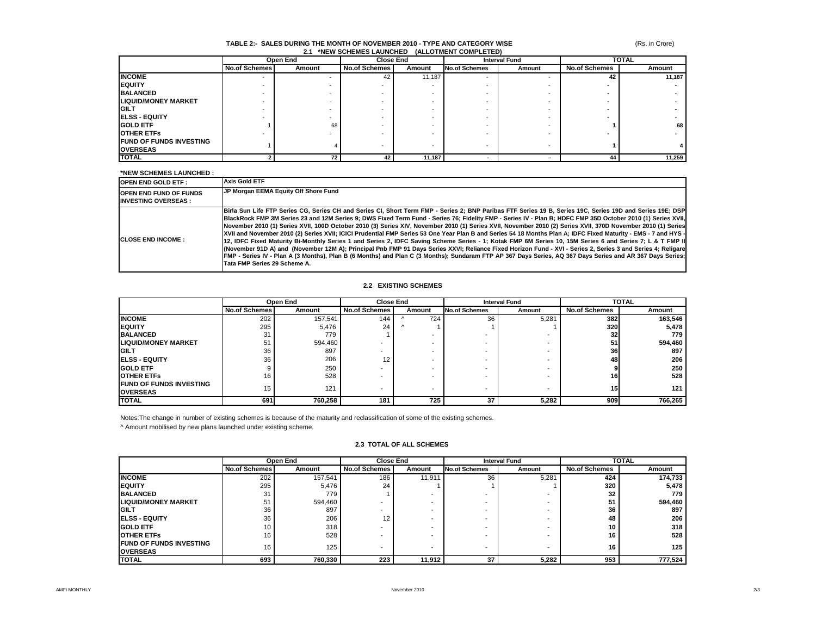# (Rs. in Crore)

#### **TABLE 2:- SALES DURING THE MONTH OF NOVEMBER 2010 - TYPE AND CATEGORY WISE 2.1 \*NEW SCHEMES LAUNCHED (ALLOTMENT COMPLETED)**

|                                 | Open End                 |        | <b>Close End</b>     |        | <b>Interval Fund</b>     |        | <b>TOTAL</b>         |        |
|---------------------------------|--------------------------|--------|----------------------|--------|--------------------------|--------|----------------------|--------|
|                                 | <b>No.of Schemes</b>     | Amount | <b>No.of Schemes</b> | Amount | <b>No.of Schemes</b>     | Amount | <b>No.of Schemes</b> | Amount |
| <b>INCOME</b>                   | $\overline{\phantom{a}}$ |        | 42                   | 11,187 | $\overline{\phantom{a}}$ |        | 42                   | 11,187 |
| <b>IEQUITY</b>                  | -                        |        |                      |        |                          |        |                      |        |
| <b>BALANCED</b>                 |                          |        |                      |        |                          |        |                      |        |
| <b>LIQUID/MONEY MARKET</b>      |                          |        |                      |        |                          |        |                      |        |
| <b>IGILT</b>                    | -                        |        |                      | -      |                          |        |                      |        |
| <b>IELSS - EQUITY</b>           |                          |        |                      | -      |                          |        |                      |        |
| <b>GOLD ETF</b>                 |                          | 68     |                      |        |                          |        |                      | 68     |
| <b>OTHER ETFS</b>               |                          |        |                      |        |                          |        |                      |        |
| <b>IFUND OF FUNDS INVESTING</b> |                          |        |                      | -      | $\overline{\phantom{a}}$ |        |                      |        |
| <b>OVERSEAS</b>                 |                          |        |                      |        |                          |        |                      |        |
| <b>TOTAL</b>                    |                          | 72     | 42                   | 11,187 |                          |        | 44                   | 11,259 |

# **\*NEW SCHEMES LAUNCHED :**

| <b>OPEN END GOLD ETF:</b>                                   | <b>Axis Gold ETF</b>                                                                                                                                                                                                                                                                                                                                                                                                                                                                                                                                                                                                                                                                                                                                                                                                                                                                                                                                                                                                                                                                                                                                                                 |
|-------------------------------------------------------------|--------------------------------------------------------------------------------------------------------------------------------------------------------------------------------------------------------------------------------------------------------------------------------------------------------------------------------------------------------------------------------------------------------------------------------------------------------------------------------------------------------------------------------------------------------------------------------------------------------------------------------------------------------------------------------------------------------------------------------------------------------------------------------------------------------------------------------------------------------------------------------------------------------------------------------------------------------------------------------------------------------------------------------------------------------------------------------------------------------------------------------------------------------------------------------------|
| <b>OPEN END FUND OF FUNDS</b><br><b>INVESTING OVERSEAS:</b> | JP Morgan EEMA Equity Off Shore Fund                                                                                                                                                                                                                                                                                                                                                                                                                                                                                                                                                                                                                                                                                                                                                                                                                                                                                                                                                                                                                                                                                                                                                 |
| <b>CLOSE END INCOME:</b>                                    | Birla Sun Life FTP Series CG, Series CH and Series CI, Short Term FMP - Series 2; BNP Paribas FTF Series 19 B, Series 19C, Series 19D and Series 19E; DSP<br>BlackRock FMP 3M Series 23 and 12M Series 9; DWS Fixed Term Fund - Series 76; Fidelity FMP - Series IV - Plan B; HDFC FMP 35D October 2010 (1) Series XVII,<br>November 2010 (1) Series XVII, 100D October 2010 (3) Series XIV, November 2010 (1) Series XVII, November 2010 (2) Series XVII, 370D November 2010 (1) Series<br>1- XVII and November 2010 (2) Series XVII; ICICI Prudential FMP Series 53 One Year Plan B and Series 54 18 Months Plan A; IDFC Fixed Maturity - EMS - 7 and HYS<br>12. IDFC Fixed Maturity Bi-Monthly Series 1 and Series 2. IDFC Saving Scheme Series - 1: Kotak FMP 6M Series 10. 15M Series 6 and Series 7: L & T FMP III<br>(November 91D A) and (November 12M A); Principal Pnb FMP 91 Days Series XXVI; Reliance Fixed Horizon Fund - XVI - Series 2, Series 3 and Series 4; Religare<br>FMP - Series IV - Plan A (3 Months), Plan B (6 Months) and Plan C (3 Months); Sundaram FTP AP 367 Days Series, AQ 367 Days Series and AR 367 Days Series;<br>Tata FMP Series 29 Scheme A. |

# **2.2 EXISTING SCHEMES**

|                                                    | Open End             |         | <b>Close End</b>     |                          | <b>Interval Fund</b> |        |                      | <b>TOTAL</b> |  |
|----------------------------------------------------|----------------------|---------|----------------------|--------------------------|----------------------|--------|----------------------|--------------|--|
|                                                    | <b>No.of Schemes</b> | Amount  | <b>No.of Schemes</b> | Amount                   | <b>No.of Schemes</b> | Amount | <b>No.of Schemes</b> | Amount       |  |
| <b>INCOME</b>                                      | 202                  | 157,541 | 144                  | 724                      | 36                   | 5,281  | 382                  | 163,546      |  |
| <b>IEQUITY</b>                                     | 295                  | 5,476   | 24                   |                          |                      |        | 320                  | 5,478        |  |
| <b>BALANCED</b>                                    | 31                   | 779     |                      | $\overline{\phantom{a}}$ |                      |        | 32                   | 779 I        |  |
| <b>LIQUID/MONEY MARKET</b>                         | 51                   | 594,460 |                      | $\overline{\phantom{a}}$ |                      |        | 51                   | 594,460      |  |
| <b>IGILT</b>                                       | 36                   | 897     |                      | $\sim$                   |                      |        | 36                   | 897          |  |
| <b>IELSS - EQUITY</b>                              | 36                   | 206     | 12                   | $\overline{\phantom{a}}$ |                      |        | 48                   | 206          |  |
| <b>GOLD ETF</b>                                    |                      | 250     |                      | $\overline{\phantom{a}}$ |                      |        |                      | 250          |  |
| <b>OTHER ETFS</b>                                  | 16                   | 528     |                      | $\overline{\phantom{a}}$ |                      |        | 16                   | 528          |  |
| <b>IFUND OF FUNDS INVESTING</b><br><b>OVERSEAS</b> | 15                   | 121     |                      | $\overline{\phantom{a}}$ |                      |        | 15 <sub>l</sub>      | 121          |  |
| <b>TOTAL</b>                                       | 691                  | 760,258 | 181                  | 725                      | 37                   | 5,282  | 909                  | 766,265      |  |

Notes:The change in number of existing schemes is because of the maturity and reclassification of some of the existing schemes.

^ Amount mobilised by new plans launched under existing scheme.

|                                                   | Open End             |         | <b>Close End</b> |        | <b>Interval Fund</b> |        | <b>TOTAL</b>         |                  |
|---------------------------------------------------|----------------------|---------|------------------|--------|----------------------|--------|----------------------|------------------|
|                                                   | <b>No.of Schemes</b> | Amount  | No.of Schemes    | Amount | <b>No.of Schemes</b> | Amount | <b>No.of Schemes</b> | Amount           |
| <b>INCOME</b>                                     | 202                  | 157,541 | 186              | 11,911 | 36                   | 5,281  | 424                  | 174,733          |
| <b>EQUITY</b>                                     | 295                  | 5,476   | 24               |        |                      |        | 320                  | 5,478            |
| <b>BALANCED</b>                                   | 31                   | 779     |                  |        |                      |        | 32                   | 779              |
| <b>LIQUID/MONEY MARKET</b>                        | 51                   | 594,460 |                  |        |                      |        | 51                   | 594,460          |
| <b>GILT</b>                                       | 36                   | 897     |                  |        |                      |        | 36                   | 897              |
| <b>ELSS - EQUITY</b>                              | 36                   | 206     | 12               |        |                      |        | 48                   | 206              |
| <b>GOLD ETF</b>                                   | 10                   | 318     |                  |        | -                    |        | 10                   | 318              |
| <b>OTHER ETFS</b>                                 | 16                   | 528     |                  |        |                      |        | 16                   | 528              |
| <b>FUND OF FUNDS INVESTING</b><br><b>OVERSEAS</b> | 16                   | 125     |                  |        |                      |        | 16                   | 125 <sub>1</sub> |
| <b>TOTAL</b>                                      | 693                  | 760,330 | 223              | 11.912 | 37                   | 5,282  | 953                  | 777,524          |

#### **2.3 TOTAL OF ALL SCHEMES**